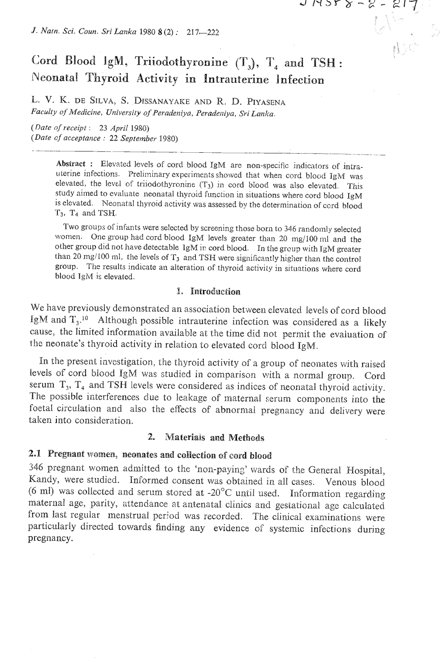*9. Natn Sci.* **Coun.** *Sri Lanka* 1980 **8** (2) : 217-222

# Cord Blood IgM, Triiodothyronine  $(T_3)$ ,  $T_4$  and TSH : **Pdeonaita! Thyroid Activity in Intrauterine Infection**

 $\mathcal{L}$ 

 $7$  M2L  $8 - 5 - 51$ 

E. **V.** K. DE **SILVA,** S. DISSANAYAKE AND R. D. PIYASENA Faculty of Medicine, University of Peradeniya, Peradeniya, Sri Lanka.

*(Date of receipt* : **23** *April* 1980) *(Date* **of** *acceptance* : <sup>22</sup>*September* 1980)

> Abstract : Elevated levels of cord blood IgM are non-specific indicators of intrauterine infections. Preliminary experiments showed that when cord blood **IgM** was elevated, the level of triiodothyronine **(T3)** in cord biood was also elevated. This study aimed to evaluate neonatal thyroid function in situations where cord blood IgM is elevated. Neonatal thyroid activity was assessed by the determination of ccrd blood T3, Tq and TSH.

> Two groups of infants were selected by screening those born to 346 randomly selected women. One group had cord blood IgM levels greater than 20 mg/100 ml and the other group did not have detectable **lgM** ir: cord blood. In the grcup with IgM greater than 20 mg/100 ml, the levels of T<sub>3</sub> and TSH were significantly higher than the control group. The results indicate an alteration of thyroid activity in situations where cord blood IgM is elevated.

### 1. Introduction

We have previously demonstrated an association between elevated levels of cord blood IgM and T<sub>3</sub>.<sup>10</sup> Although possible intrauterine infection was considered as a likely cause, the limited information available at the time did not permit the evaluation of the neonate's thyroid activity in relation to elevated cord blood IgM.

In the present investigation, the thyroid activity of a group of neonates with raised levels of cord blood IgM was studied in comparison with a normal group. Cord serum  $T_3$ ,  $T_4$  and TSH levels were considered as indices of neonatal thyroid activity. The possible interferences due to leakage of maternal serum components into the foetal circulation and also the effects of abnormal pregnancy and delivery were taken into consideration.

# 2. Materials and Methods

# **2.1 Pregnant women, neonates and collection of cord blood**

346 pregnant women admitted to the 'non-paying' wards of the General Hospital, Kandy, were studied. Informed consent was obtained in all cases. Venous blood (6 ml) was collected and serum stored at -20 $^{\circ}$ C until used. Information regarding maternal age, parity, attendance at antenatal clinics and gestational age calculated from last regular menstrual period was recorded. The ciinical examinations were particularly directed towards finding any evidence of systemic infections during pregnancy.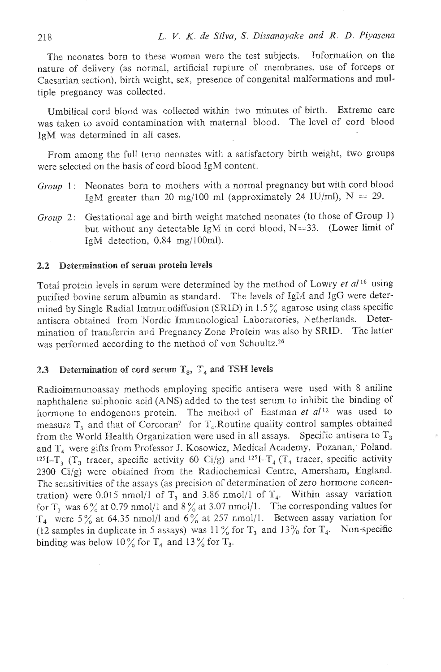The neonates born to these women were the test subjects. Information on the nature of delivery (as normal, artificial rupture of membranes, use of forceps or Caesarian section), birth weight, sex, presence of congenital malformations and multiple pregnancy was collected.

Umbilical cord blood was collected within two minutes of birth. Extreme care was taken to avoid contamination with maternal blood. The level of cord blood IgM was determined in all cases.

From among the full term neonates with a satisfactory birth weight, two groups were selected on the basis of cord blood HgM content.

- *Group* 1: Neonates born to mothers with a normal pregnancy but with cord blood IgM greater than 20 mg/100 ml (approximately 24 IU/ml),  $N = 29$ .
- *Group* 2: Gestational age and birth weight matched neonates (to those of Group 1) but without any detectable IgM in cord blood,  $N=33$ . (Lower limit of IgM detection, 0.84 mg/100ml).

### **2.2** Determination **of** serum **protein levels**

Total protein levels in serum were determined by the method of Lowry et  $al^{16}$  using purified bovine serum albumin as standard. The levels of Igid and **TgG** were determined by Single Radial Immunodiffusion (SRID) in  $1.5\%$  agarose using class specific antisera obtained from Nordic Immunological Laboratories, Netherlands. Determination of transferrin and Pregnancy Zone Protein was also by SRID. The latter was performed according to the method of von Schoultz.<sup>26</sup>

# **2.3** Determination of cord serum  $T_3$ ,  $T_4$  and TSH levels

Radioimmunoassay methods employing specific antisera were used with 8 aniline naphthalene sulphonic acid (ANS) added to the test serum to inhibit the binding of hormone to endogeno::s protein. The method of Eastman *et al*<sup>12</sup> was used to measure  $T_3$  and that of Corcoran<sup>7</sup> for  $T_4$ . Routine quality control samples obtained from the World Health Organization were used in all assays. Specific antisera to  $T_3$ and T, were gifts from Professor **5.** Kosowicz, Medical Academy, Pozanan,' Poland. 125I-T<sub>3</sub> (T<sub>3</sub> tracer, specific activity 60 Ci/g) and <sup>125</sup>I-T<sub>4</sub> (T<sub>4</sub> tracer, specific activity 2300 Ci/g) were obtained from the Radiochemical Centre, Amersham, England. The sensitivities of the assays (as precision of determination of zero hormone concentration) were 0.015 nmol/1 of T<sub>3</sub> and 3.86 nmol/1 of T<sub>4</sub>. Within assay variation for T<sub>3</sub> was  $6\frac{\%}{6}$  at 0.79 nmol/1 and  $8\frac{\%}{6}$  at 3.07 nmcl/1. The corresponding values for **'T4** Were 5 % at 64.35 nmol/l and 6% at 257 nmol/l. Between assay variation for (12 samples in duplicate in 5 assays) was  $11\%$  for T<sub>3</sub> and  $13\%$  for T<sub>4</sub>. Non-specific binding was below 10% for  $T_4$  and 13% for  $T_3$ .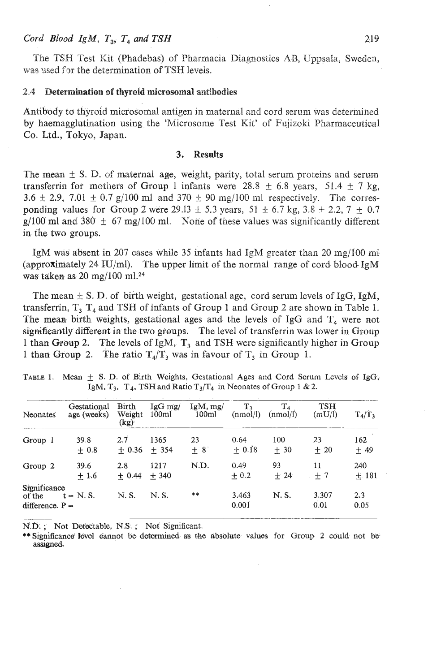### $\int \text{Cord } H \text{ } B \text{ } dA \text{ } g \text{ } M$ ,  $T_3$ ,  $T_4$  and  $TSH$  **219 219**

The TSH Test Kit (Phadebas) of Pharmacia Diagnostics AB, Uppsala, Sweden, was used for the determination of TSH levels.

#### 2.4 Determination of thyroid microsomal antibodies

Antibody to thyroid microsomal antigen in maternal and cord serum was determined by haemagglutination using the 'Microsome Test Kit' of Fujizoki Pharmaceutical Co. Ltd., Tokyo, Japan.

#### 3. **Results**

The mean  $\pm$  S. D. of maternal age, weight, parity, total serum proteins and serum transferrin for mothers of Group 1 infants were 28.8  $\pm$  6.8 years, 51.4  $\pm$  7 kg, **3.6**  $\pm$  2.9, 7.01  $\pm$  0.7 g/100 ml and 370  $\pm$  90 mg/100 ml respectively. The corresponding values for Group 2 were  $29.13 \pm 5.3$  years,  $51 \pm 6.7$  kg,  $3.8 \pm 2.2$ ,  $7 \pm 0.7$ g/100 ml and 380  $\pm$  67 mg/100 ml. None of these values was significantly different in the two groups.

IgM was absent in 207 cases while 35 infants had **IgM** greater than 20 mg/lOO rnl (approximately 24 IU/ml). The upper limit of the normal range of cord blood- **IgM**  was taken as **20** mg/100 rnl.24

The mean  $\pm$  S. D. of birth weight, gestational age, cord serum levels of IgG, IgM, transferrin,  $T_3$   $T_4$  and TSH of infants of Group 1 and Group 2 are shown in Table 1. The mean birth weights, gestational ages and the levels of IgG and  $T<sub>4</sub>$  were not significantly different in the two groups. The level of transferrin was lower in Group 1 than Group 2. The levds of IgM, **T,** and TSH were significantly higher in Group 1 than Group 2. The ratio  $T_4/T_3$  was in favour of  $T_3$  in Group 1.

| Neonates                                    | Gestational<br>age (weeks) | Birth<br>Weight<br>(kg) | $\lg G$ mg/<br>100ml | IgM, mg/<br>100ml | $T_{3}$<br>(nmol/l) | $T_{4}$<br>(nmol/l) | TSH<br>(mU/l) | $T_4/T_3$     |
|---------------------------------------------|----------------------------|-------------------------|----------------------|-------------------|---------------------|---------------------|---------------|---------------|
| Group 1                                     | 39.8<br>$+0.8$             | 2.7<br>$+ 0.36 + 354$   | 1365                 | 23<br>$+8$        | 0.64<br>$+0.18$     | 100<br>$+30$        | 23<br>$+20$   | 162<br>$+49$  |
| Group 2                                     | 39.6<br>$+1.6$             | 2.8<br>$+0.44$          | 1217<br>$+340$       | N.D.              | 0.49<br>$+0.2$      | 93<br>$+24$         | 11<br>$+7$    | 240<br>$+181$ |
| Significance<br>of the<br>difference. $P =$ | $t = N.S.$                 | N.S.                    | N. S.                | **                | 3.463<br>0.001      | N. S.               | 3.307<br>0.01 | 2.3<br>0.05   |

TABLE 1. Mean  $f$  S. D. of Birth Weights, Gestational Ages and Cord Serum Levels of IgG, IgM,  $T_3$ ,  $T_4$ , TSH and Ratio  $T_3/T_4$  in Neonates of Group 1 & 2.

N.0. ; **Not Detectable, N.S.** ; **Not Significant.** 

\*\* **Significance' Idvel aannot be detenruned as &he absolute values for Group 2 could. not be assigned.**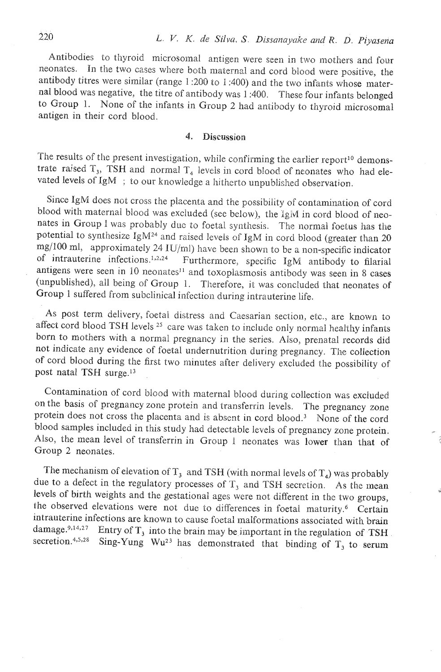Antibodies to thyroid microsomal antigen were seen in two mothers and four neonakcs. In the two cases where both maternal and cord blood were positive, the antibody titres were similar (range 1 :200 to 1 :400) and the two infants whose maternal blood was negative, the titre of antibody was 1 :400. These four infants belonged to Group 1. None of the infants in Group 2 had antibody to thyroid microsomal antigen in their cord blood.

#### 4. Discussion

The results of the present investigation, while confirming the earlier report<sup>10</sup> demonstrate raised  $T_3$ , TSH and normal  $T_4$  levels in cord blood of neonates who had elevated levels of IgM ; to our knowledge a hitherto unpublished observation.

Since IgM does not cross the placenta and the possibility of contamination of cord blood with maternal blood was excluded (see below), the iglw in cord blood of neonates in Group I was probably due to foetal synthesis. The normal foetus has the potential to synthesize IgM<sup>24</sup> and raised levels of IgM in cord blood (greater than 20 mg/100 ml, approximately 24 IU/ml) have been shown to be a non-specific indicator of intrauterine infections.<sup>1,2,24</sup> Furthermore, specific IgM antibody to filarial antigens were seen in 10 neonates<sup>11</sup> and toxoplasmosis antibody was seen in 8 cases (unpublished), ail being of Group 1. Therefore, it was concluded that neonates of Group 1 suffered from subclinical infection during intrauterine life.

As post term delivery, foetal distress and Caesarian section, etc., are known to affect cord blood TSH levels<sup>25</sup> care was taken to include only normal healthy infants born to mothers with a normal pregnancy in the series. Also, prenatal records did not indicate any evidence of foetal undernutrition during pregnancy. The collection of cord blood during the first two minutes after delivery excluded the possibility of post natal TSH surge.13

Contamination of cord biood with maternal blood during collection was excluded on the basis of pregnancy zone protein and transferrin levels. The pregnancy zone protein does not cross the placenta and is absent in cord blood.<sup>3</sup> None of the cord blood samples included in this study had detectable levels of pregnancy zone protein. Also, the mean level of transferrin in Group 1 neonates was lower than that of Group 2 neonates.

The mechanism of elevation of  $T_3$  and TSH (with normal levels of  $T_4$ ) was probably due to a defect in the regulatory processes of  $T<sub>3</sub>$  and TSH secretion. As the mean levels of birth weights and the gestational ages were not different in thc two groups, the observed elevations were not due to differences in foetal maturity.<sup>6</sup> Certain intrauterine infections are known to cause foetal malformations associated with brain damage.<sup>9,14,27</sup> Entry of T<sub>3</sub> into the brain may be important in the regulation of TSH secretion.<sup>4,5,28</sup> Sing-Yung Wu<sup>23</sup> has demonstrated that binding of  $T_3$  to serum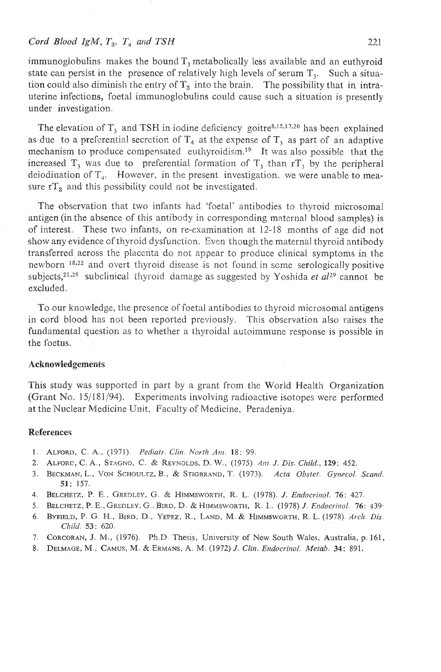## $\dot{C}$  *cord Blood IgM,*  $T_a$ ,  $T_a$  *and TSH* 221

immunoglobulins makes the bound  $T_1$  metabolically less available and an euthyroid state can persist in the presence of relatively high levels of serum  $T_3$ . Such a situation could also diminish the entry of  $T_3$  into the brain. The possibility that in intrauterine infections, foetal immunoglobulins could cause such a situation is presently under investigation.

The elevation of  $T_3$  and TSH in iodine deficiency goitre<sup>8,15,17,20</sup> has been explained as due to a preferential secretion of  $T<sub>4</sub>$  at the expense of  $T<sub>3</sub>$  as part of an adaptive mechanism to produce compensated euthyroidism.<sup>19</sup> It was also possible that the increased  $T_3$  was due to preferential formation of  $T_3$  than  $T_3$  by the peripheral deiodination of  $T_{4}$ . However, in the present investigation, we were unable to measure  $rT_a$  and this possibility could not be investigated.

The observation that two infants had 'foetal' antibodies io thyroid microsomal antigen (in the absence of this antibody in correspocding maternal blood samples) is of interest. These two infants, on re-examination at 12-18 months of age did not show any evidence of thyroid dysfunction. Evcn though the maternal thyroid antibody transferrecl across the placenta do not appear io produce clinical symptoms in the newborn <sup>18,22</sup> and overt thyroid disease is not found in some serologically positive subjects,<sup>21,29</sup> subclinical thyroid damage as suggested by Yoshida *et al*<sup>29</sup> cannot be excluded.

To our knowledge, the presence of foetal antibodies to thyroid microsomal antigens in cord blood has not been reported previously. This observation also raises the fundamental question as to whether a thyroidal autoimmune response is possible in the foetus.

### **Acknowledgements**

This study was supported in part by a grant from the World Health Organization (Grant No. 15/181/94). Experiments involving radioactive isotopes were performed at the Nuclear Medicine Unit, Faculty of Medicine, Peradeniya.

### **References**

- 1. ALFORD, C. A., (1971). *Pediatr. Clin. North Am.* 18: 99.
- 2. ALPORE, C. A., STAGNO, C. & REYNOLDS, D.W., (197.5) Am. J. *Dis. Cltilcl.,* **129:** 452.
- **3.** BECKMAN, L., VON SCHOULTZ, B., & STIGRRAND, T.(1973). *Acta Obstet. Gynccol. Scand.*  **51:** 157.
- **4.** BELCHETZ, P. E., GREDLEY, *G.* PL HIMMSWORTA, R.L. (1978). J. *Endocrinol.* 76: 427.
- 4. **BELCHETZ, P. E., GREDLEY, G., BIRD, D. & HIMMSWORTH, R. I.. (1978) J.** *Endocrinol.* **76: 439.**
- *6.* **BYFIELD, P.** G. **PI.,** BIRD, D., **YEPEZ,** 8.. **LAND,** M. & **HIMMSWGRTH, El.** *L.* (1978). *Arch. Dis. Cliild. 53:* 620.
- 7. CORCORAN, J. M., (1976). Ph.D. Thesis, University of New South Wales, Australia, p. 161,
- 8. DELMAOE, M., CAMUS, M. & ERMANS, **A.** M. (1972) J. *Clin. Endocrinol. Metab.* **34;** 891.